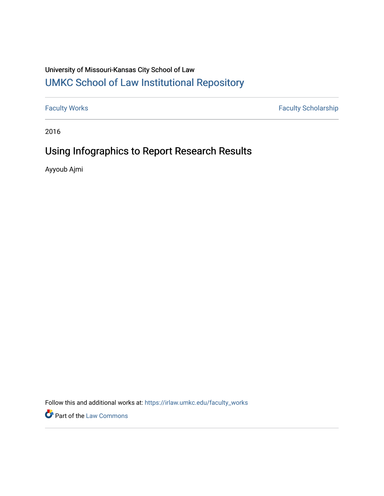# University of Missouri-Kansas City School of Law [UMKC School of Law Institutional Repository](https://irlaw.umkc.edu/)

[Faculty Works](https://irlaw.umkc.edu/faculty_works) [Faculty Scholarship](https://irlaw.umkc.edu/faculty_scholarship) 

2016

# Using Infographics to Report Research Results

Ayyoub Ajmi

Follow this and additional works at: [https://irlaw.umkc.edu/faculty\\_works](https://irlaw.umkc.edu/faculty_works?utm_source=irlaw.umkc.edu%2Ffaculty_works%2F118&utm_medium=PDF&utm_campaign=PDFCoverPages) 

**Part of the [Law Commons](http://network.bepress.com/hgg/discipline/578?utm_source=irlaw.umkc.edu%2Ffaculty_works%2F118&utm_medium=PDF&utm_campaign=PDFCoverPages)**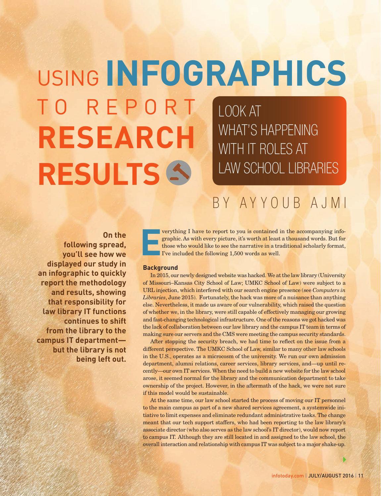# USING **INFOGRAPHICS** T O R E P O R T **RESEARCH RESULTS** LOOK AT WHAT'S HAPPENING WITH IT ROLES AT LAW SCHOOL LIBRARIES

# BY AYYOUB AJMI

**On the following spread, you'll see how we displayed our study in an infographic to quickly report the methodology and results, showing that responsibility for law library IT functions continues to shift from the library to the campus IT department but the library is not being left out.** **E** verything I have to report to you is contained in the accompanying infographic. As with every picture, it's worth at least a thousand words. But for those who would like to see the narrative in a traditional scholarly format, I've included the following 1,500 words as well.

### **Background**

In 2015, our newly designed website was hacked. We at the law library (University of Missouri–Kansas City School of Law; UMKC School of Law) were subject to a URL injection, which interfered with our search engine presence (see *Computers in Libraries*, June 2015). Fortunately, the hack was more of a nuisance than anything else. Nevertheless, it made us aware of our vulnerability, which raised the question of whether we, in the library, were still capable of effectively managing our growing and fast-changing technological infrastructure. One of the reasons we got hacked was the lack of collaboration between our law library and the campus IT team in terms of making sure our servers and the CMS were meeting the campus security standards.

After stopping the security breach, we had time to reflect on the issue from a different perspective. The UMKC School of Law, similar to many other law schools in the U.S., operates as a microcosm of the university. We run our own admission department, alumni relations, career services, library services, and—up until recently—our own IT services. When the need to build a new website for the law school arose, it seemed normal for the library and the communication department to take ownership of the project. However, in the aftermath of the hack, we were not sure if this model would be sustainable.

At the same time, our law school started the process of moving our IT personnel to the main campus as part of a new shared services agreement, a systemwide initiative to limit expenses and eliminate redundant administrative tasks. The change meant that our tech support staffers, who had been reporting to the law library's associate director (who also serves as the law school's IT director), would now report to campus IT. Although they are still located in and assigned to the law school, the overall interaction and relationship with campus IT was subject to a major shake-up.

A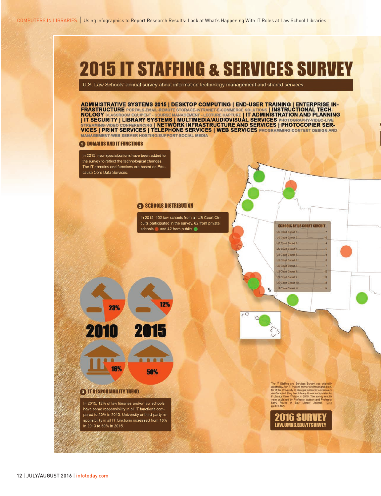

U.S. Law Schools' annual survey about information technology management and shared services.

ADMINISTRATIVE SYSTEMS 2015 | DESKTOP COMPUTING | END-USER TRAINING | ENTERPRISE IN-<br>FRASTRUCTURE PORTALS-EMAIL-REMOTE STORAGE-INTRANET-E-COMMERCE SOLUTIONS | INSTRUCTIONAL TECH-<br>NOLOGY CLASSROOM EQUIPENT - COURSE MANAGEME **MANAGEMENT-WEB SERVER HOSTING/SUPPORT-SOCIAL MEDIA** 

#### **ODDUMAINS AND IT FUNCTIONS**

In 2015, new specializations have been added to the survey to reflect the technological changes. The IT domains and functions are based on Educause Core Data Services.

#### **2 SCHOOLS DISTRIBUTION**

12%

8888

In 2015, 102 law schools from all US Court Circuits participated in the survey. 62 from private schools and 42 from public

23% 2010

> 16% 50%

#### **O IT RESPONSIBILITY TREND**

In 2015, 12% of law libraries and/or law schools have some responsibility in all IT functions compared to 23% in 2010. University or third-party responsibility in all IT functions increased from 16% in 2010 to 50% in 2015.

The IT Staffing and Services Survey was originary<br>created by Ann E. Pucket, former professor and direc-<br>for of the University of Georgia School of Law Alexan-<br>for of the University of Georgia School of Law Alexan-<br>Professo

**SCHOOLS BY US COURT CIRCUIT** 

.,

js.

3

 $\overline{10}$ 

18

-8

US Court Circuit 1 US Court Circuit 2 US Court Circuit 3.

**US Court Circuit 4** 

US Court Circuit 5. US Court Circuit 6

US Court Circuit 7. **US Court Circuit 8.** 

US Court Circuit 9

**US Court Circuit 10** 

US Court Circuit 11

b

 $\sigma$ 

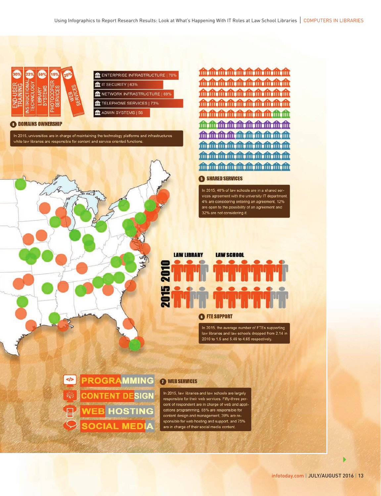

| THE ENTERPRISE INFRASTRUCTURE   70% |  |
|-------------------------------------|--|
| In IT SECURITY   63%                |  |
| ME NETWORK INFRASTRUCTURE   69%     |  |
| TELEPHONE SERVICES   73%            |  |

**ft** ADMIN SYSTEMS | 56

**O DOMAINS OWNERSHIP** 

In 2015, universities are in charge of maintaining the technology platforms and infrastructures while law libraries are responsible for content and service oriented functions.



<u> 血血血血血血血血血</u> <u>mmmmmmmmmm</u> <u>mmmmmmmmmm</u> <del>血血血血血血血血血</del> **mmmmmmmmmm** 血血血血血血血血血 血血血血血血血血血 **血血血血血血血血血** 血血血血血血血血血

## **6 SHARED SERVICES**

In 2015, 48% of law schools are in a shared services agreement with the university IT department. 4% are considering entering an agreement, 12% are open to the possibility of an agreement and 32% are not considering it.



## **O**FTE SUPPORT

In 2015, the average number of FTEs supporting law libraries and law schools dropped from 2.14 in 2010 to 1.5 and 5.49 to 4.65 respectively.

PROGRAMMING  $\le$ /> **CONTENT DESIGN WEB HOSTING SOCIAL MEDIA** 

### WEB SERVICES

In 2015, law libraries and law schools are largely responsible for their web services. Fifty-three percent of respondent are in charge of web and applications programming, 65% are responsible for content design and management, 39% are responsible for web hosting and support, and 75% are in charge of their social media content.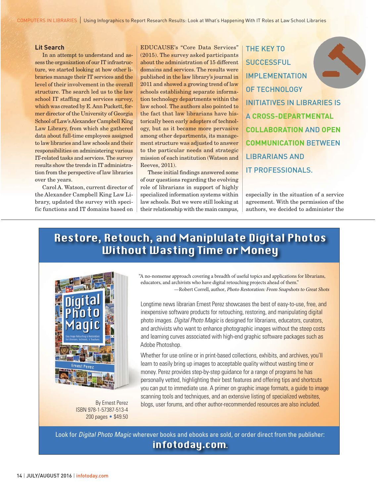#### **Lit Search**

In an attempt to understand and assess the organization of our IT infrastructure, we started looking at how other libraries manage their IT services and the level of their involvement in the overall structure. The search led us to the law school IT staffing and services survey, which was created by E. Ann Puckett, former director of the University of Georgia School of Law's Alexander Campbell King Law Library, from which she gathered data about full-time employees assigned to law libraries and law schools and their responsibilities on administering various IT-related tasks and services. The survey results show the trends in IT administration from the perspective of law libraries over the years.

Carol A. Watson, current director of the Alexander Campbell King Law Library, updated the survey with specific functions and IT domains based on EDUCAUSE's "Core Data Services" (2015). The survey asked participants about the administration of 15 different domains and services. The results were published in the law library's journal in 2011 and showed a growing trend of law schools establishing separate information technology departments within the law school. The authors also pointed to the fact that law librarians have historically been early adopters of technology, but as it became more pervasive among other departments, its management structure was adjusted to answer to the particular needs and strategic mission of each institution (Watson and Reeves, 2011).

These initial findings answered some of our questions regarding the evolving role of librarians in support of highly specialized information systems within law schools. But we were still looking at their relationship with the main campus, THE KEY TO **SUCCESSFUL** IMPLEMENTATION OF TECHNOLOGY INITIATIVES IN LIBRARIES IS A **CROSS-DEPARTMENTAL COLLABORATION** AND **OPEN COMMUNICATION** BETWEEN LIBRARIANS AND IT PROFESSIONALS.

especially in the situation of a service agreement. With the permission of the authors, we decided to administer the

# Restore, Retouch, and Maniplulate Digital Photos **Without Wasting Time or Money**



ISBN 978-1-57387-513-4 200 pages • \$49.50

"A no-nonsense approach covering a breadth of useful topics and applications for librarians, educators, and archivists who have digital retouching projects ahead of them." -Robert Correll, author, Photo Restoration: From Snapshots to Great Shots

Longtime news librarian Ernest Perez showcases the best of easy-to-use, free, and inexpensive software products for retouching, restoring, and manipulating digital photo images. *Digital Photo Magic* is designed for librarians, educators, curators, and archivists who want to enhance photographic images without the steep costs and learning curves associated with high-end graphic software packages such as Adobe Photoshop.

Whether for use online or in print-based collections, exhibits, and archives, you'll learn to easily bring up images to acceptable quality without wasting time or money. Perez provides step-by-step guidance for a range of programs he has personally vetted, highlighting their best features and offering tips and shortcuts you can put to immediate use. A primer on graphic image formats, a guide to image scanning tools and techniques, and an extensive listing of specialized websites, By Ernest Perez blogs, user forums, and other author-recommended resources are also included.

 Look for *Digital Photo Magic* wherever books and ebooks are sold, or order direct from the publisher: infotoday.com.